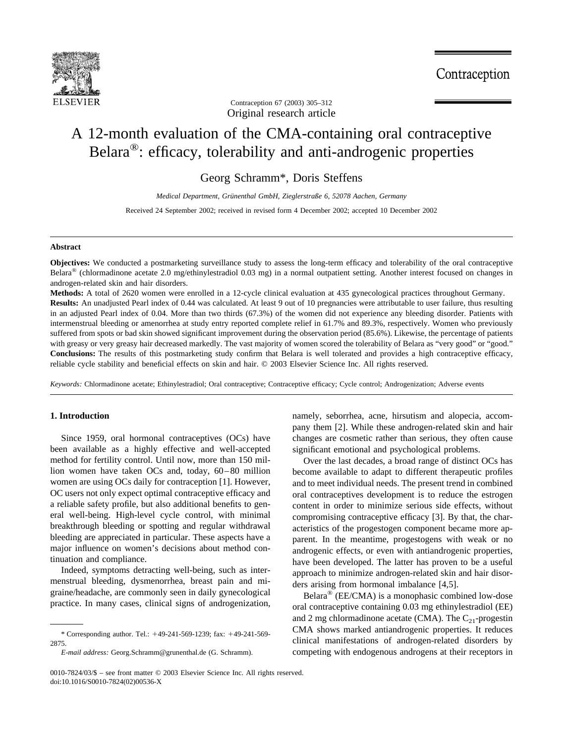

Original research article Contraception 67 (2003) 305–312

# A 12-month evaluation of the CMA-containing oral contraceptive Belara®: efficacy, tolerability and anti-androgenic properties

Georg Schramm\*, Doris Steffens

*Medical Department, Gru¨nenthal GmbH, Zieglerstraße 6, 52078 Aachen, Germany*

Received 24 September 2002; received in revised form 4 December 2002; accepted 10 December 2002

## **Abstract**

**Objectives:** We conducted a postmarketing surveillance study to assess the long-term efficacy and tolerability of the oral contraceptive Belara® (chlormadinone acetate 2.0 mg/ethinylestradiol 0.03 mg) in a normal outpatient setting. Another interest focused on changes in androgen-related skin and hair disorders.

**Methods:** A total of 2620 women were enrolled in a 12-cycle clinical evaluation at 435 gynecological practices throughout Germany. **Results:** An unadjusted Pearl index of 0.44 was calculated. At least 9 out of 10 pregnancies were attributable to user failure, thus resulting in an adjusted Pearl index of 0.04. More than two thirds (67.3%) of the women did not experience any bleeding disorder. Patients with intermenstrual bleeding or amenorrhea at study entry reported complete relief in 61.7% and 89.3%, respectively. Women who previously suffered from spots or bad skin showed significant improvement during the observation period (85.6%). Likewise, the percentage of patients with greasy or very greasy hair decreased markedly. The vast majority of women scored the tolerability of Belara as "very good" or "good." **Conclusions:** The results of this postmarketing study confirm that Belara is well tolerated and provides a high contraceptive efficacy, reliable cycle stability and beneficial effects on skin and hair. © 2003 Elsevier Science Inc. All rights reserved.

*Keywords:* Chlormadinone acetate; Ethinylestradiol; Oral contraceptive; Contraceptive efficacy; Cycle control; Androgenization; Adverse events

## **1. Introduction**

Since 1959, oral hormonal contraceptives (OCs) have been available as a highly effective and well-accepted method for fertility control. Until now, more than 150 million women have taken OCs and, today, 60–80 million women are using OCs daily for contraception [\[1\].](#page-7-0) However, OC users not only expect optimal contraceptive efficacy and a reliable safety profile, but also additional benefits to general well-being. High-level cycle control, with minimal breakthrough bleeding or spotting and regular withdrawal bleeding are appreciated in particular. These aspects have a major influence on women's decisions about method continuation and compliance.

Indeed, symptoms detracting well-being, such as intermenstrual bleeding, dysmenorrhea, breast pain and migraine/headache, are commonly seen in daily gynecological practice. In many cases, clinical signs of androgenization, namely, seborrhea, acne, hirsutism and alopecia, accompany them [\[2\].](#page-7-0) While these androgen-related skin and hair changes are cosmetic rather than serious, they often cause significant emotional and psychological problems.

Over the last decades, a broad range of distinct OCs has become available to adapt to different therapeutic profiles and to meet individual needs. The present trend in combined oral contraceptives development is to reduce the estrogen content in order to minimize serious side effects, without compromising contraceptive efficacy [\[3\]](#page-7-0). By that, the characteristics of the progestogen component became more apparent. In the meantime, progestogens with weak or no androgenic effects, or even with antiandrogenic properties, have been developed. The latter has proven to be a useful approach to minimize androgen-related skin and hair disorders arising from hormonal imbalance [\[4,5\]](#page-7-0).

Belara® (EE/CMA) is a monophasic combined low-dose oral contraceptive containing 0.03 mg ethinylestradiol (EE) and 2 mg chlormadinone acetate (CMA). The  $C_{21}$ -progestin CMA shows marked antiandrogenic properties. It reduces clinical manifestations of androgen-related disorders by competing with endogenous androgens at their receptors in

<sup>\*</sup> Corresponding author. Tel.: 49-241-569-1239; fax: 49-241-569- 2875.

*E-mail address:* Georg.Schramm@grunenthal.de (G. Schramm).

<sup>0010-7824/03/\$ –</sup> see front matter © 2003 Elsevier Science Inc. All rights reserved. doi:10.1016/S0010-7824(02)00536-X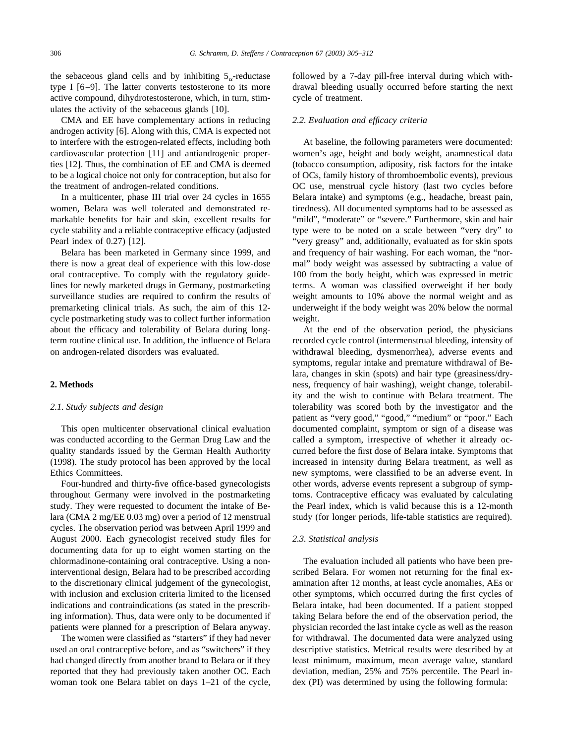the sebaceous gland cells and by inhibiting  $5_{\alpha}$ -reductase type I [\[6–9\].](#page-7-0) The latter converts testosterone to its more active compound, dihydrotestosterone, which, in turn, stimulates the activity of the sebaceous glands [\[10\]](#page-7-0).

CMA and EE have complementary actions in reducing androgen activity [\[6\]](#page-7-0). Along with this, CMA is expected not to interfere with the estrogen-related effects, including both cardiovascular protection [\[11\]](#page-7-0) and antiandrogenic properties [\[12\].](#page-7-0) Thus, the combination of EE and CMA is deemed to be a logical choice not only for contraception, but also for the treatment of androgen-related conditions.

In a multicenter, phase III trial over 24 cycles in 1655 women, Belara was well tolerated and demonstrated remarkable benefits for hair and skin, excellent results for cycle stability and a reliable contraceptive efficacy (adjusted Pearl index of 0.27) [\[12\].](#page-7-0)

Belara has been marketed in Germany since 1999, and there is now a great deal of experience with this low-dose oral contraceptive. To comply with the regulatory guidelines for newly marketed drugs in Germany, postmarketing surveillance studies are required to confirm the results of premarketing clinical trials. As such, the aim of this 12 cycle postmarketing study was to collect further information about the efficacy and tolerability of Belara during longterm routine clinical use. In addition, the influence of Belara on androgen-related disorders was evaluated.

#### **2. Methods**

#### *2.1. Study subjects and design*

This open multicenter observational clinical evaluation was conducted according to the German Drug Law and the quality standards issued by the German Health Authority (1998). The study protocol has been approved by the local Ethics Committees.

Four-hundred and thirty-five office-based gynecologists throughout Germany were involved in the postmarketing study. They were requested to document the intake of Belara (CMA 2 mg/EE 0.03 mg) over a period of 12 menstrual cycles. The observation period was between April 1999 and August 2000. Each gynecologist received study files for documenting data for up to eight women starting on the chlormadinone-containing oral contraceptive. Using a noninterventional design, Belara had to be prescribed according to the discretionary clinical judgement of the gynecologist, with inclusion and exclusion criteria limited to the licensed indications and contraindications (as stated in the prescribing information). Thus, data were only to be documented if patients were planned for a prescription of Belara anyway.

The women were classified as "starters" if they had never used an oral contraceptive before, and as "switchers" if they had changed directly from another brand to Belara or if they reported that they had previously taken another OC. Each woman took one Belara tablet on days 1–21 of the cycle,

followed by a 7-day pill-free interval during which withdrawal bleeding usually occurred before starting the next cycle of treatment.

## *2.2. Evaluation and efficacy criteria*

At baseline, the following parameters were documented: women's age, height and body weight, anamnestical data (tobacco consumption, adiposity, risk factors for the intake of OCs, family history of thromboembolic events), previous OC use, menstrual cycle history (last two cycles before Belara intake) and symptoms (e.g., headache, breast pain, tiredness). All documented symptoms had to be assessed as "mild", "moderate" or "severe." Furthermore, skin and hair type were to be noted on a scale between "very dry" to "very greasy" and, additionally, evaluated as for skin spots and frequency of hair washing. For each woman, the "normal" body weight was assessed by subtracting a value of 100 from the body height, which was expressed in metric terms. A woman was classified overweight if her body weight amounts to 10% above the normal weight and as underweight if the body weight was 20% below the normal weight.

At the end of the observation period, the physicians recorded cycle control (intermenstrual bleeding, intensity of withdrawal bleeding, dysmenorrhea), adverse events and symptoms, regular intake and premature withdrawal of Belara, changes in skin (spots) and hair type (greasiness/dryness, frequency of hair washing), weight change, tolerability and the wish to continue with Belara treatment. The tolerability was scored both by the investigator and the patient as "very good," "good," "medium" or "poor." Each documented complaint, symptom or sign of a disease was called a symptom, irrespective of whether it already occurred before the first dose of Belara intake. Symptoms that increased in intensity during Belara treatment, as well as new symptoms, were classified to be an adverse event. In other words, adverse events represent a subgroup of symptoms. Contraceptive efficacy was evaluated by calculating the Pearl index, which is valid because this is a 12-month study (for longer periods, life-table statistics are required).

## *2.3. Statistical analysis*

The evaluation included all patients who have been prescribed Belara. For women not returning for the final examination after 12 months, at least cycle anomalies, AEs or other symptoms, which occurred during the first cycles of Belara intake, had been documented. If a patient stopped taking Belara before the end of the observation period, the physician recorded the last intake cycle as well as the reason for withdrawal. The documented data were analyzed using descriptive statistics. Metrical results were described by at least minimum, maximum, mean average value, standard deviation, median, 25% and 75% percentile. The Pearl index (PI) was determined by using the following formula: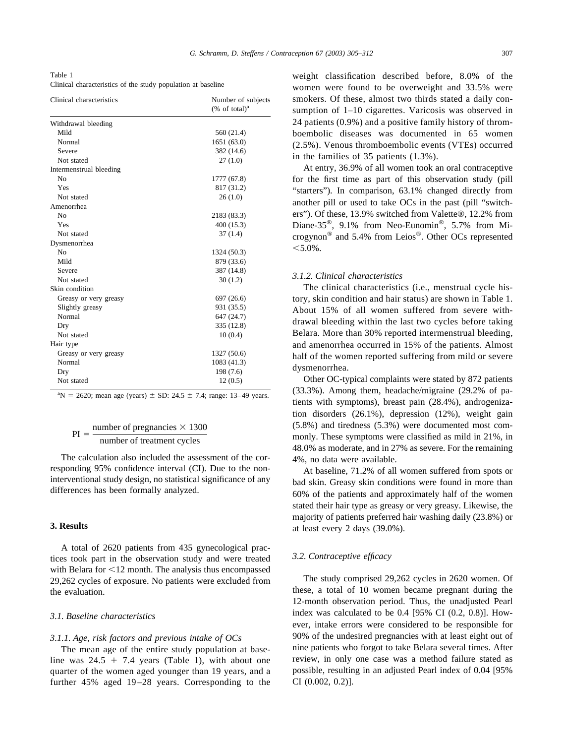Table 1 Clinical characteristics of the study population at baseline

| Clinical characteristics | Number of subjects           |  |  |  |
|--------------------------|------------------------------|--|--|--|
|                          | $(\%$ of total) <sup>a</sup> |  |  |  |
| Withdrawal bleeding      |                              |  |  |  |
| Mild                     | 560 (21.4)                   |  |  |  |
| Normal                   | 1651(63.0)                   |  |  |  |
| Severe                   | 382 (14.6)                   |  |  |  |
| Not stated               | 27(1.0)                      |  |  |  |
| Intermenstrual bleeding  |                              |  |  |  |
| N <sub>0</sub>           | 1777 (67.8)                  |  |  |  |
| Yes                      | 817 (31.2)                   |  |  |  |
| Not stated               | 26(1.0)                      |  |  |  |
| Amenorrhea               |                              |  |  |  |
| N <sub>0</sub>           | 2183 (83.3)                  |  |  |  |
| Yes                      | 400(15.3)                    |  |  |  |
| Not stated               | 37(1.4)                      |  |  |  |
| Dysmenorrhea             |                              |  |  |  |
| N <sub>0</sub>           | 1324 (50.3)                  |  |  |  |
| Mild                     | 879 (33.6)                   |  |  |  |
| Severe                   | 387 (14.8)                   |  |  |  |
| Not stated               | 30(1.2)                      |  |  |  |
| Skin condition           |                              |  |  |  |
| Greasy or very greasy    | 697 (26.6)                   |  |  |  |
| Slightly greasy          | 931 (35.5)                   |  |  |  |
| Normal                   | 647 (24.7)                   |  |  |  |
| Dry                      | 335 (12.8)                   |  |  |  |
| Not stated               | 10(0.4)                      |  |  |  |
| Hair type                |                              |  |  |  |
| Greasy or very greasy    | 1327 (50.6)                  |  |  |  |
| Normal                   | 1083 (41.3)                  |  |  |  |
| Dry                      | 198 (7.6)                    |  |  |  |
| Not stated               | 12(0.5)                      |  |  |  |

 ${}^{a}N = 2620$ ; mean age (years)  $\pm$  SD: 24.5  $\pm$  7.4; range: 13–49 years.

## $PI = \frac{\text{number of pregnancies} \times 1300}{\text{number of two factors of each}}$ number of treatment cycles

The calculation also included the assessment of the corresponding 95% confidence interval (CI). Due to the noninterventional study design, no statistical significance of any differences has been formally analyzed.

## **3. Results**

A total of 2620 patients from 435 gynecological practices took part in the observation study and were treated with Belara for  $\leq 12$  month. The analysis thus encompassed 29,262 cycles of exposure. No patients were excluded from the evaluation.

#### *3.1. Baseline characteristics*

#### *3.1.1. Age, risk factors and previous intake of OCs*

The mean age of the entire study population at baseline was  $24.5 + 7.4$  years (Table 1), with about one quarter of the women aged younger than 19 years, and a further 45% aged 19–28 years. Corresponding to the

weight classification described before, 8.0% of the women were found to be overweight and 33.5% were smokers. Of these, almost two thirds stated a daily consumption of 1–10 cigarettes. Varicosis was observed in 24 patients (0.9%) and a positive family history of thromboembolic diseases was documented in 65 women (2.5%). Venous thromboembolic events (VTEs) occurred in the families of 35 patients (1.3%).

At entry, 36.9% of all women took an oral contraceptive for the first time as part of this observation study (pill "starters"). In comparison, 63.1% changed directly from another pill or used to take OCs in the past (pill "switchers"). Of these, 13.9% switched from Valette®, 12.2% from Diane-35®, 9.1% from Neo-Eunomin®, 5.7% from Microgynon® and 5.4% from Leios®. Other OCs represented  $< 5.0\%$ .

#### *3.1.2. Clinical characteristics*

The clinical characteristics (i.e., menstrual cycle history, skin condition and hair status) are shown in Table 1. About 15% of all women suffered from severe withdrawal bleeding within the last two cycles before taking Belara. More than 30% reported intermenstrual bleeding, and amenorrhea occurred in 15% of the patients. Almost half of the women reported suffering from mild or severe dysmenorrhea.

Other OC-typical complaints were stated by 872 patients (33.3%). Among them, headache/migraine (29.2% of patients with symptoms), breast pain (28.4%), androgenization disorders (26.1%), depression (12%), weight gain (5.8%) and tiredness (5.3%) were documented most commonly. These symptoms were classified as mild in 21%, in 48.0% as moderate, and in 27% as severe. For the remaining 4%, no data were available.

At baseline, 71.2% of all women suffered from spots or bad skin. Greasy skin conditions were found in more than 60% of the patients and approximately half of the women stated their hair type as greasy or very greasy. Likewise, the majority of patients preferred hair washing daily (23.8%) or at least every 2 days (39.0%).

#### *3.2. Contraceptive efficacy*

The study comprised 29,262 cycles in 2620 women. Of these, a total of 10 women became pregnant during the 12-month observation period. Thus, the unadjusted Pearl index was calculated to be 0.4 [95% CI (0.2, 0.8)]. However, intake errors were considered to be responsible for 90% of the undesired pregnancies with at least eight out of nine patients who forgot to take Belara several times. After review, in only one case was a method failure stated as possible, resulting in an adjusted Pearl index of 0.04 [95% CI (0.002, 0.2)].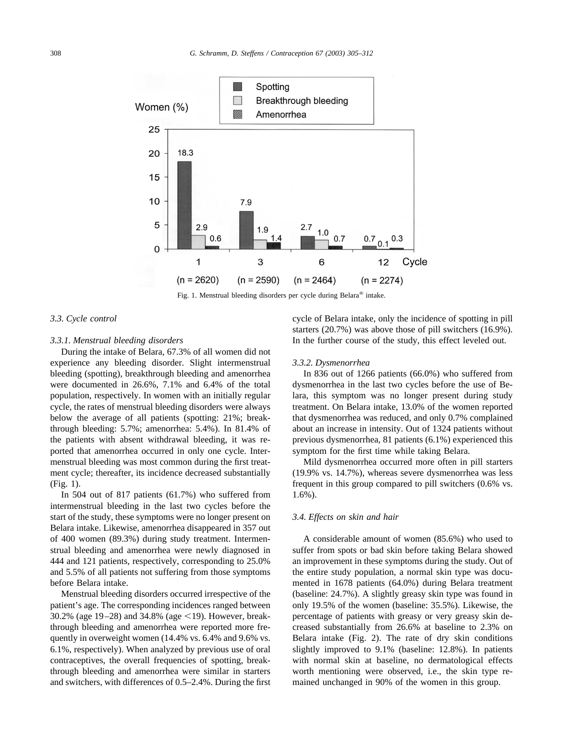

Fig. 1. Menstrual bleeding disorders per cycle during Belara® intake.



## *3.3.1. Menstrual bleeding disorders*

During the intake of Belara, 67.3% of all women did not experience any bleeding disorder. Slight intermenstrual bleeding (spotting), breakthrough bleeding and amenorrhea were documented in 26.6%, 7.1% and 6.4% of the total population, respectively. In women with an initially regular cycle, the rates of menstrual bleeding disorders were always below the average of all patients (spotting: 21%; breakthrough bleeding: 5.7%; amenorrhea: 5.4%). In 81.4% of the patients with absent withdrawal bleeding, it was reported that amenorrhea occurred in only one cycle. Intermenstrual bleeding was most common during the first treatment cycle; thereafter, its incidence decreased substantially (Fig. 1).

In 504 out of 817 patients (61.7%) who suffered from intermenstrual bleeding in the last two cycles before the start of the study, these symptoms were no longer present on Belara intake. Likewise, amenorrhea disappeared in 357 out of 400 women (89.3%) during study treatment. Intermenstrual bleeding and amenorrhea were newly diagnosed in 444 and 121 patients, respectively, corresponding to 25.0% and 5.5% of all patients not suffering from those symptoms before Belara intake.

Menstrual bleeding disorders occurred irrespective of the patient's age. The corresponding incidences ranged between 30.2% (age 19–28) and 34.8% (age  $\le$ 19). However, breakthrough bleeding and amenorrhea were reported more frequently in overweight women (14.4% vs. 6.4% and 9.6% vs. 6.1%, respectively). When analyzed by previous use of oral contraceptives, the overall frequencies of spotting, breakthrough bleeding and amenorrhea were similar in starters and switchers, with differences of 0.5–2.4%. During the first cycle of Belara intake, only the incidence of spotting in pill starters (20.7%) was above those of pill switchers (16.9%). In the further course of the study, this effect leveled out.

#### *3.3.2. Dysmenorrhea*

In 836 out of 1266 patients (66.0%) who suffered from dysmenorrhea in the last two cycles before the use of Belara, this symptom was no longer present during study treatment. On Belara intake, 13.0% of the women reported that dysmenorrhea was reduced, and only 0.7% complained about an increase in intensity. Out of 1324 patients without previous dysmenorrhea, 81 patients (6.1%) experienced this symptom for the first time while taking Belara.

Mild dysmenorrhea occurred more often in pill starters (19.9% vs. 14.7%), whereas severe dysmenorrhea was less frequent in this group compared to pill switchers (0.6% vs. 1.6%).

## *3.4. Effects on skin and hair*

A considerable amount of women (85.6%) who used to suffer from spots or bad skin before taking Belara showed an improvement in these symptoms during the study. Out of the entire study population, a normal skin type was documented in 1678 patients (64.0%) during Belara treatment (baseline: 24.7%). A slightly greasy skin type was found in only 19.5% of the women (baseline: 35.5%). Likewise, the percentage of patients with greasy or very greasy skin decreased substantially from 26.6% at baseline to 2.3% on Belara intake [\(Fig. 2\)](#page-4-0). The rate of dry skin conditions slightly improved to 9.1% (baseline: 12.8%). In patients with normal skin at baseline, no dermatological effects worth mentioning were observed, i.e., the skin type remained unchanged in 90% of the women in this group.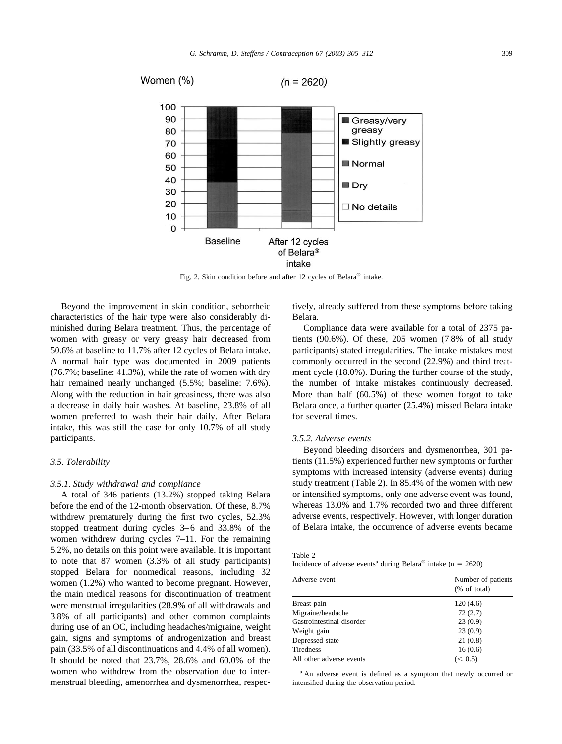<span id="page-4-0"></span>

Fig. 2. Skin condition before and after 12 cycles of Belara® intake.

Beyond the improvement in skin condition, seborrheic characteristics of the hair type were also considerably diminished during Belara treatment. Thus, the percentage of women with greasy or very greasy hair decreased from 50.6% at baseline to 11.7% after 12 cycles of Belara intake. A normal hair type was documented in 2009 patients (76.7%; baseline: 41.3%), while the rate of women with dry hair remained nearly unchanged  $(5.5\%;$  baseline: 7.6%). Along with the reduction in hair greasiness, there was also a decrease in daily hair washes. At baseline, 23.8% of all women preferred to wash their hair daily. After Belara intake, this was still the case for only 10.7% of all study participants.

## *3.5. Tolerability*

#### *3.5.1. Study withdrawal and compliance*

A total of 346 patients (13.2%) stopped taking Belara before the end of the 12-month observation. Of these, 8.7% withdrew prematurely during the first two cycles, 52.3% stopped treatment during cycles 3–6 and 33.8% of the women withdrew during cycles 7–11. For the remaining 5.2%, no details on this point were available. It is important to note that 87 women (3.3% of all study participants) stopped Belara for nonmedical reasons, including 32 women (1.2%) who wanted to become pregnant. However, the main medical reasons for discontinuation of treatment were menstrual irregularities (28.9% of all withdrawals and 3.8% of all participants) and other common complaints during use of an OC, including headaches/migraine, weight gain, signs and symptoms of androgenization and breast pain (33.5% of all discontinuations and 4.4% of all women). It should be noted that 23.7%, 28.6% and 60.0% of the women who withdrew from the observation due to intermenstrual bleeding, amenorrhea and dysmenorrhea, respectively, already suffered from these symptoms before taking Belara.

Compliance data were available for a total of 2375 patients (90.6%). Of these, 205 women (7.8% of all study participants) stated irregularities. The intake mistakes most commonly occurred in the second (22.9%) and third treatment cycle (18.0%). During the further course of the study, the number of intake mistakes continuously decreased. More than half (60.5%) of these women forgot to take Belara once, a further quarter (25.4%) missed Belara intake for several times.

#### *3.5.2. Adverse events*

Beyond bleeding disorders and dysmenorrhea, 301 patients (11.5%) experienced further new symptoms or further symptoms with increased intensity (adverse events) during study treatment (Table 2). In 85.4% of the women with new or intensified symptoms, only one adverse event was found, whereas 13.0% and 1.7% recorded two and three different adverse events, respectively. However, with longer duration of Belara intake, the occurrence of adverse events became

| $\sim$<br><br>۰. |  |
|------------------|--|
|------------------|--|

| Incidence of adverse events <sup>a</sup> during Belara <sup>®</sup> intake (n = 2620) |  |  |  |  |  |  |  |
|---------------------------------------------------------------------------------------|--|--|--|--|--|--|--|
|---------------------------------------------------------------------------------------|--|--|--|--|--|--|--|

| Number of patients<br>% of total |  |  |  |
|----------------------------------|--|--|--|
| 120(4.6)                         |  |  |  |
| 72(2.7)                          |  |  |  |
| 23(0.9)                          |  |  |  |
| 23(0.9)                          |  |  |  |
| 21(0.8)                          |  |  |  |
| 16(0.6)                          |  |  |  |
| (< 0.5)                          |  |  |  |
|                                  |  |  |  |

<sup>a</sup> An adverse event is defined as a symptom that newly occurred or intensified during the observation period.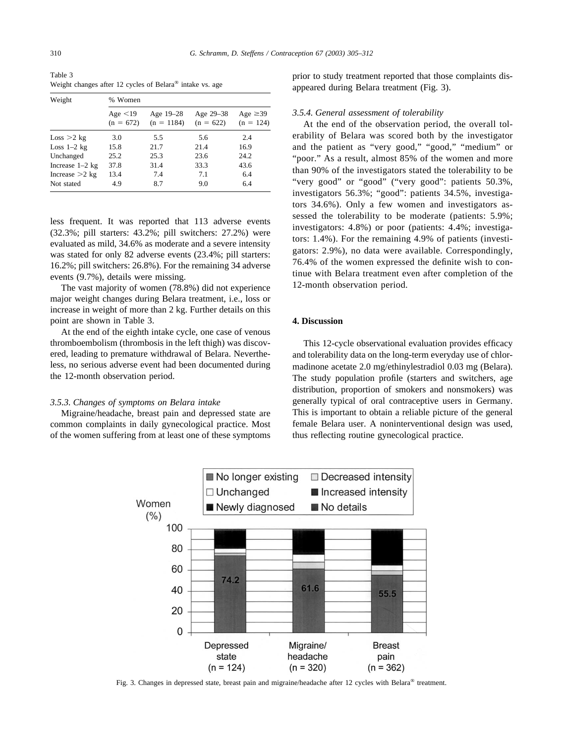Table 3 Weight changes after 12 cycles of Belara® intake vs. age

| Weight            | % Women                      |                           |                          |                              |  |  |
|-------------------|------------------------------|---------------------------|--------------------------|------------------------------|--|--|
|                   | Age $\leq$ 19<br>$(n = 672)$ | Age 19-28<br>$(n = 1184)$ | Age 29-38<br>$(n = 622)$ | Age $\geq$ 39<br>$(n = 124)$ |  |  |
| Loss > 2 kg       | 3.0                          | 5.5                       | 5.6                      | 2.4                          |  |  |
| Loss $1-2$ kg     | 15.8                         | 21.7                      | 21.4                     | 16.9                         |  |  |
| Unchanged         | 25.2                         | 25.3                      | 23.6                     | 24.2                         |  |  |
| Increase $1-2$ kg | 37.8                         | 31.4                      | 33.3                     | 43.6                         |  |  |
| Increase $>2$ kg  | 13.4                         | 7.4                       | 7.1                      | 6.4                          |  |  |
| Not stated        | 4.9                          | 8.7                       | 9.0                      | 6.4                          |  |  |

less frequent. It was reported that 113 adverse events (32.3%; pill starters: 43.2%; pill switchers: 27.2%) were evaluated as mild, 34.6% as moderate and a severe intensity was stated for only 82 adverse events (23.4%; pill starters: 16.2%; pill switchers: 26.8%). For the remaining 34 adverse events (9.7%), details were missing.

The vast majority of women (78.8%) did not experience major weight changes during Belara treatment, i.e., loss or increase in weight of more than 2 kg. Further details on this point are shown in Table 3.

At the end of the eighth intake cycle, one case of venous thromboembolism (thrombosis in the left thigh) was discovered, leading to premature withdrawal of Belara. Nevertheless, no serious adverse event had been documented during the 12-month observation period.

## *3.5.3. Changes of symptoms on Belara intake*

Migraine/headache, breast pain and depressed state are common complaints in daily gynecological practice. Most of the women suffering from at least one of these symptoms prior to study treatment reported that those complaints disappeared during Belara treatment (Fig. 3).

## *3.5.4. General assessment of tolerability*

At the end of the observation period, the overall tolerability of Belara was scored both by the investigator and the patient as "very good," "good," "medium" or "poor." As a result, almost 85% of the women and more than 90% of the investigators stated the tolerability to be "very good" or "good" ("very good": patients 50.3%, investigators 56.3%; "good": patients 34.5%, investigators 34.6%). Only a few women and investigators assessed the tolerability to be moderate (patients: 5.9%; investigators: 4.8%) or poor (patients: 4.4%; investigators: 1.4%). For the remaining 4.9% of patients (investigators: 2.9%), no data were available. Correspondingly, 76.4% of the women expressed the definite wish to continue with Belara treatment even after completion of the 12-month observation period.

## **4. Discussion**

This 12-cycle observational evaluation provides efficacy and tolerability data on the long-term everyday use of chlormadinone acetate 2.0 mg/ethinylestradiol 0.03 mg (Belara). The study population profile (starters and switchers, age distribution, proportion of smokers and nonsmokers) was generally typical of oral contraceptive users in Germany. This is important to obtain a reliable picture of the general female Belara user. A noninterventional design was used, thus reflecting routine gynecological practice.



Fig. 3. Changes in depressed state, breast pain and migraine/headache after 12 cycles with Belara® treatment.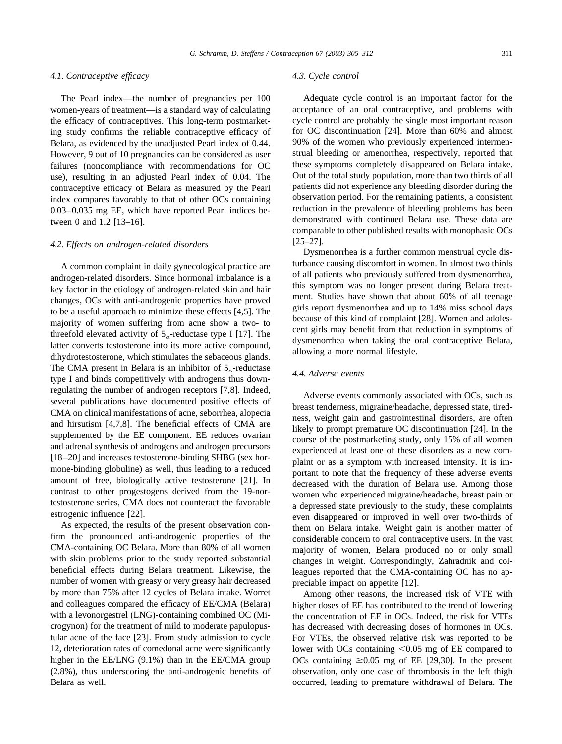#### *4.1. Contraceptive efficacy*

The Pearl index—the number of pregnancies per 100 women-years of treatment—is a standard way of calculating the efficacy of contraceptives. This long-term postmarketing study confirms the reliable contraceptive efficacy of Belara, as evidenced by the unadjusted Pearl index of 0.44. However, 9 out of 10 pregnancies can be considered as user failures (noncompliance with recommendations for OC use), resulting in an adjusted Pearl index of 0.04. The contraceptive efficacy of Belara as measured by the Pearl index compares favorably to that of other OCs containing 0.03–0.035 mg EE, which have reported Pearl indices between 0 and 1.2 [\[13–16\]](#page-7-0).

## *4.2. Effects on androgen-related disorders*

A common complaint in daily gynecological practice are androgen-related disorders. Since hormonal imbalance is a key factor in the etiology of androgen-related skin and hair changes, OCs with anti-androgenic properties have proved to be a useful approach to minimize these effects [\[4,5\].](#page-7-0) The majority of women suffering from acne show a two- to threefold elevated activity of  $5_{\alpha}$ -reductase type I [\[17\]](#page-7-0). The latter converts testosterone into its more active compound, dihydrotestosterone, which stimulates the sebaceous glands. The CMA present in Belara is an inhibitor of  $5<sub>o</sub>$ -reductase type I and binds competitively with androgens thus downregulating the number of androgen receptors [\[7,8\]](#page-7-0). Indeed, several publications have documented positive effects of CMA on clinical manifestations of acne, seborrhea, alopecia and hirsutism [\[4,7,8\].](#page-7-0) The beneficial effects of CMA are supplemented by the EE component. EE reduces ovarian and adrenal synthesis of androgens and androgen precursors [\[18–20\]](#page-7-0) and increases testosterone-binding SHBG (sex hormone-binding globuline) as well, thus leading to a reduced amount of free, biologically active testosterone [\[21\].](#page-7-0) In contrast to other progestogens derived from the 19-nortestosterone series, CMA does not counteract the favorable estrogenic influence [\[22\].](#page-7-0)

As expected, the results of the present observation confirm the pronounced anti-androgenic properties of the CMA-containing OC Belara. More than 80% of all women with skin problems prior to the study reported substantial beneficial effects during Belara treatment. Likewise, the number of women with greasy or very greasy hair decreased by more than 75% after 12 cycles of Belara intake. Worret and colleagues compared the efficacy of EE/CMA (Belara) with a levonorgestrel (LNG)-containing combined OC (Microgynon) for the treatment of mild to moderate papulopustular acne of the face [\[23\]](#page-7-0). From study admission to cycle 12, deterioration rates of comedonal acne were significantly higher in the EE/LNG (9.1%) than in the EE/CMA group (2.8%), thus underscoring the anti-androgenic benefits of Belara as well.

#### *4.3. Cycle control*

Adequate cycle control is an important factor for the acceptance of an oral contraceptive, and problems with cycle control are probably the single most important reason for OC discontinuation [\[24\].](#page-7-0) More than 60% and almost 90% of the women who previously experienced intermenstrual bleeding or amenorrhea, respectively, reported that these symptoms completely disappeared on Belara intake. Out of the total study population, more than two thirds of all patients did not experience any bleeding disorder during the observation period. For the remaining patients, a consistent reduction in the prevalence of bleeding problems has been demonstrated with continued Belara use. These data are comparable to other published results with monophasic OCs [\[25–27\]](#page-7-0).

Dysmenorrhea is a further common menstrual cycle disturbance causing discomfort in women. In almost two thirds of all patients who previously suffered from dysmenorrhea, this symptom was no longer present during Belara treatment. Studies have shown that about 60% of all teenage girls report dysmenorrhea and up to 14% miss school days because of this kind of complaint [\[28\].](#page-7-0) Women and adolescent girls may benefit from that reduction in symptoms of dysmenorrhea when taking the oral contraceptive Belara, allowing a more normal lifestyle.

#### *4.4. Adverse events*

Adverse events commonly associated with OCs, such as breast tenderness, migraine/headache, depressed state, tiredness, weight gain and gastrointestinal disorders, are often likely to prompt premature OC discontinuation [\[24\]](#page-7-0). In the course of the postmarketing study, only 15% of all women experienced at least one of these disorders as a new complaint or as a symptom with increased intensity. It is important to note that the frequency of these adverse events decreased with the duration of Belara use. Among those women who experienced migraine/headache, breast pain or a depressed state previously to the study, these complaints even disappeared or improved in well over two-thirds of them on Belara intake. Weight gain is another matter of considerable concern to oral contraceptive users. In the vast majority of women, Belara produced no or only small changes in weight. Correspondingly, Zahradnik and colleagues reported that the CMA-containing OC has no appreciable impact on appetite [\[12\]](#page-7-0).

Among other reasons, the increased risk of VTE with higher doses of EE has contributed to the trend of lowering the concentration of EE in OCs. Indeed, the risk for VTEs has decreased with decreasing doses of hormones in OCs. For VTEs, the observed relative risk was reported to be lower with OCs containing  $\leq 0.05$  mg of EE compared to OCs containing  $\geq 0.05$  mg of EE [\[29,30\]](#page-7-0). In the present observation, only one case of thrombosis in the left thigh occurred, leading to premature withdrawal of Belara. The